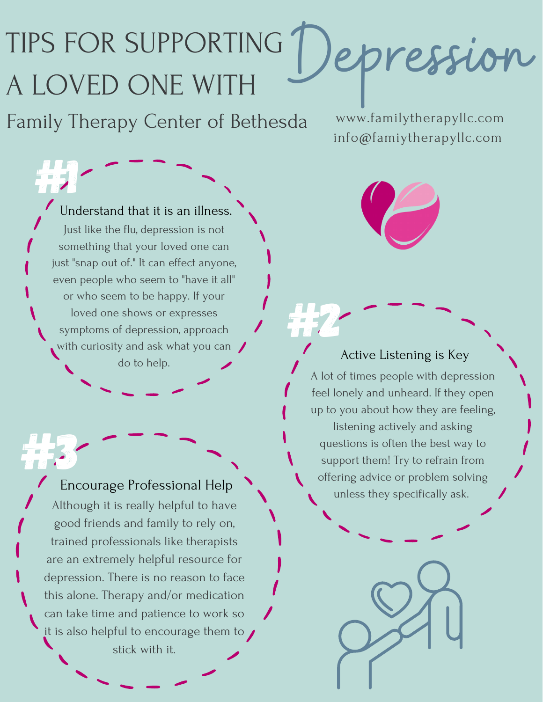## TIPS FOR SUPPORTING A LOVED ONE WITH epression

Family Therapy Center of Bethesda

www.familytherapyllc.com info@famiytherapyllc.com

#1 Understand that it is an illness. Just like the flu, depression is not something that your loved one can just "snap out of." It can effect anyone, even people who seem to "have it all" or who seem to be happy. If your loved one shows or expresses symptoms of depression, approach with curiosity and ask what you can Shows or expresses<br>
of depression, approach<br>
y and ask what you can<br>
do to help.

Encourage Professional Help Although it is really helpful to have good friends and family to rely on, trained professionals like therapists are an extremely helpful resource for depression. There is no reason to face this alone. Therapy and/or medication can take time and patience to work so it is also helpful to encourage them to  $\sqrt{}$ stick with it.



## Active Listening is Key

A lot of times people with depression feel lonely and unheard. If they open up to you about how they are feeling, listening actively and asking questions is often the best way to support them! Try to refrain from offering advice or problem solving Encourage Professional Help<br>
All the support them! Try to refrain from the best way<br>
then in Try to refrain from the best way<br>
then in Try to refrain from the best way<br>
then in Try to refrain from the best way<br>
then in Try